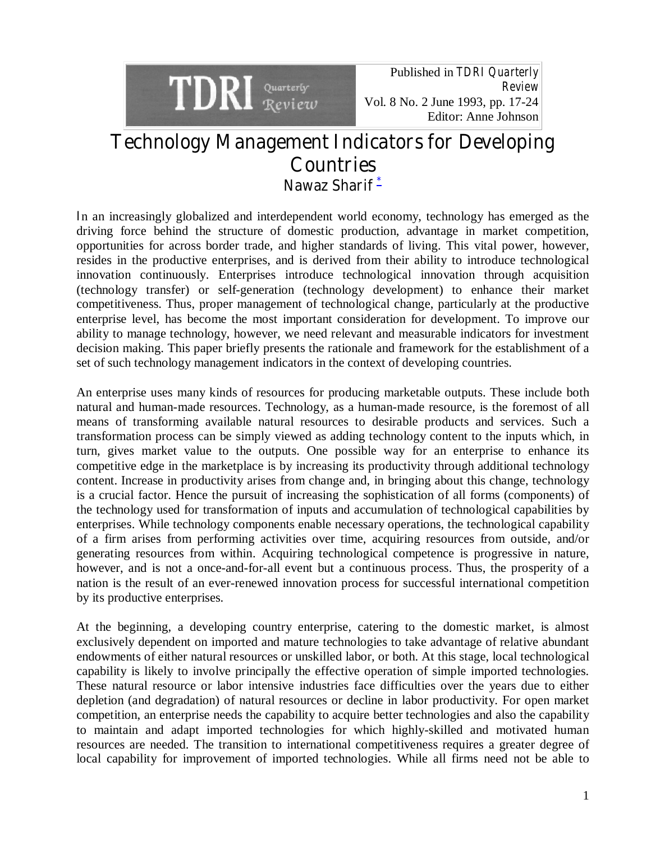

Published in *TDRI Quarterly Review* Vol. 8 No. 2 June 1993, pp. 17-24 Editor: Anne Johnson

# **Technology Management Indicators for Developing Countries Nawaz Sharif [\\*](http://www.info.tdri.or.th/library/quarterly/notes/j93_3_n.htm)**

**I**n an increasingly globalized and interdependent world economy, technology has emerged as the driving force behind the structure of domestic production, advantage in market competition, opportunities for across border trade, and higher standards of living. This vital power, however, resides in the productive enterprises, and is derived from their ability to introduce technological innovation continuously. Enterprises introduce technological innovation through acquisition (technology transfer) or self-generation (technology development) to enhance their market competitiveness. Thus, proper management of technological change, particularly at the productive enterprise level, has become the most important consideration for development. To improve our ability to manage technology, however, we need relevant and measurable indicators for investment decision making. This paper briefly presents the rationale and framework for the establishment of a set of such technology management indicators in the context of developing countries.

An enterprise uses many kinds of resources for producing marketable outputs. These include both natural and human-made resources. Technology, as a human-made resource, is the foremost of all means of transforming available natural resources to desirable products and services. Such a transformation process can be simply viewed as adding technology content to the inputs which, in turn, gives market value to the outputs. One possible way for an enterprise to enhance its competitive edge in the marketplace is by increasing its productivity through additional technology content. Increase in productivity arises from change and, in bringing about this change, technology is a crucial factor. Hence the pursuit of increasing the sophistication of all forms (components) of the technology used for transformation of inputs and accumulation of technological capabilities by enterprises. While technology components enable necessary operations, the technological capability of a firm arises from performing activities over time, acquiring resources from outside, and/or generating resources from within. Acquiring technological competence is progressive in nature, however, and is not a once-and-for-all event but a continuous process. Thus, the prosperity of a nation is the result of an ever-renewed innovation process for successful international competition by its productive enterprises.

At the beginning, a developing country enterprise, catering to the domestic market, is almost exclusively dependent on imported and mature technologies to take advantage of relative abundant endowments of either natural resources or unskilled labor, or both. At this stage, local technological capability is likely to involve principally the effective operation of simple imported technologies. These natural resource or labor intensive industries face difficulties over the years due to either depletion (and degradation) of natural resources or decline in labor productivity. For open market competition, an enterprise needs the capability to acquire better technologies and also the capability to maintain and adapt imported technologies for which highly-skilled and motivated human resources are needed. The transition to international competitiveness requires a greater degree of local capability for improvement of imported technologies. While all firms need not be able to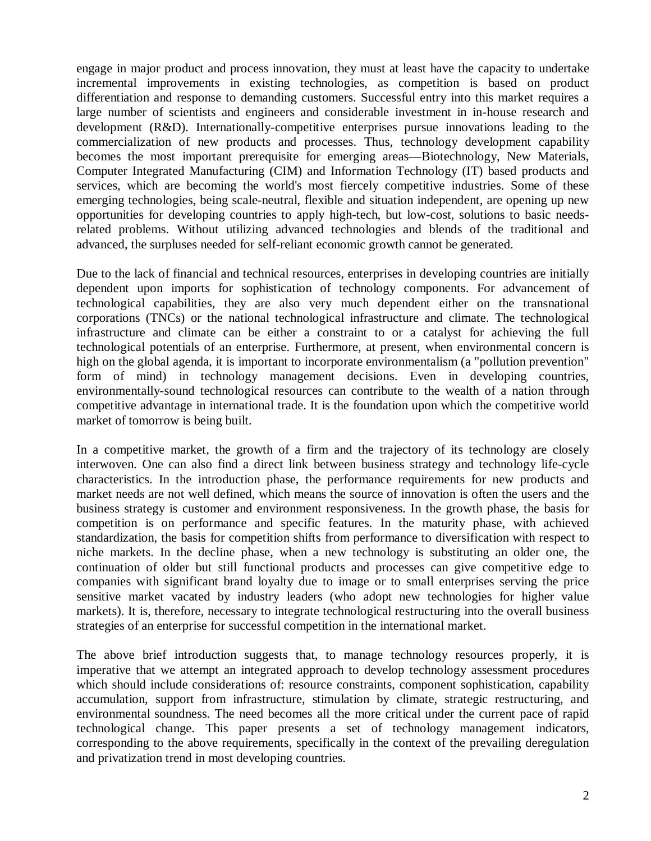engage in major product and process innovation, they must at least have the capacity to undertake incremental improvements in existing technologies, as competition is based on product differentiation and response to demanding customers. Successful entry into this market requires a large number of scientists and engineers and considerable investment in in-house research and development (R&D). Internationally-competitive enterprises pursue innovations leading to the commercialization of new products and processes. Thus, technology development capability becomes the most important prerequisite for emerging areas—Biotechnology, New Materials, Computer Integrated Manufacturing (CIM) and Information Technology (IT) based products and services, which are becoming the world's most fiercely competitive industries. Some of these emerging technologies, being scale-neutral, flexible and situation independent, are opening up new opportunities for developing countries to apply high-tech, but low-cost, solutions to basic needsrelated problems. Without utilizing advanced technologies and blends of the traditional and advanced, the surpluses needed for self-reliant economic growth cannot be generated.

Due to the lack of financial and technical resources, enterprises in developing countries are initially dependent upon imports for sophistication of technology components. For advancement of technological capabilities, they are also very much dependent either on the transnational corporations (TNCs) or the national technological infrastructure and climate. The technological infrastructure and climate can be either a constraint to or a catalyst for achieving the full technological potentials of an enterprise. Furthermore, at present, when environmental concern is high on the global agenda, it is important to incorporate environmentalism (a "pollution prevention" form of mind) in technology management decisions. Even in developing countries, environmentally-sound technological resources can contribute to the wealth of a nation through competitive advantage in international trade. It is the foundation upon which the competitive world market of tomorrow is being built.

In a competitive market, the growth of a firm and the trajectory of its technology are closely interwoven. One can also find a direct link between business strategy and technology life-cycle characteristics. In the introduction phase, the performance requirements for new products and market needs are not well defined, which means the source of innovation is often the users and the business strategy is customer and environment responsiveness. In the growth phase, the basis for competition is on performance and specific features. In the maturity phase, with achieved standardization, the basis for competition shifts from performance to diversification with respect to niche markets. In the decline phase, when a new technology is substituting an older one, the continuation of older but still functional products and processes can give competitive edge to companies with significant brand loyalty due to image or to small enterprises serving the price sensitive market vacated by industry leaders (who adopt new technologies for higher value markets). It is, therefore, necessary to integrate technological restructuring into the overall business strategies of an enterprise for successful competition in the international market.

The above brief introduction suggests that, to manage technology resources properly, it is imperative that we attempt an integrated approach to develop technology assessment procedures which should include considerations of: resource constraints, component sophistication, capability accumulation, support from infrastructure, stimulation by climate, strategic restructuring, and environmental soundness. The need becomes all the more critical under the current pace of rapid technological change. This paper presents a set of technology management indicators, corresponding to the above requirements, specifically in the context of the prevailing deregulation and privatization trend in most developing countries.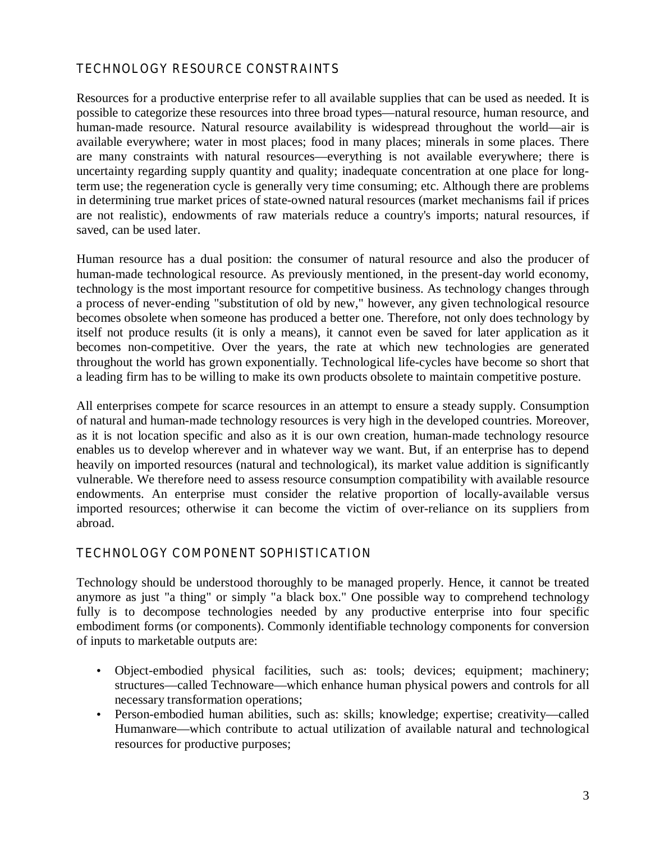# **TECHNOLOGY RESOURCE CONSTRAINTS**

Resources for a productive enterprise refer to all available supplies that can be used as needed. It is possible to categorize these resources into three broad types—natural resource, human resource, and human-made resource. Natural resource availability is widespread throughout the world—air is available everywhere; water in most places; food in many places; minerals in some places. There are many constraints with natural resources—everything is not available everywhere; there is uncertainty regarding supply quantity and quality; inadequate concentration at one place for longterm use; the regeneration cycle is generally very time consuming; etc. Although there are problems in determining true market prices of state-owned natural resources (market mechanisms fail if prices are not realistic), endowments of raw materials reduce a country's imports; natural resources, if saved, can be used later.

Human resource has a dual position: the consumer of natural resource and also the producer of human-made technological resource. As previously mentioned, in the present-day world economy, technology is the most important resource for competitive business. As technology changes through a process of never-ending "substitution of old by new," however, any given technological resource becomes obsolete when someone has produced a better one. Therefore, not only does technology by itself not produce results (it is only a means), it cannot even be saved for later application as it becomes non-competitive. Over the years, the rate at which new technologies are generated throughout the world has grown exponentially. Technological life-cycles have become so short that a leading firm has to be willing to make its own products obsolete to maintain competitive posture.

All enterprises compete for scarce resources in an attempt to ensure a steady supply. Consumption of natural and human-made technology resources is very high in the developed countries. Moreover, as it is not location specific and also as it is our own creation, human-made technology resource enables us to develop wherever and in whatever way we want. But, if an enterprise has to depend heavily on imported resources (natural and technological), its market value addition is significantly vulnerable. We therefore need to assess resource consumption compatibility with available resource endowments. An enterprise must consider the relative proportion of locally-available versus imported resources; otherwise it can become the victim of over-reliance on its suppliers from abroad.

#### **TECHNOLOGY COMPONENT SOPHISTICATION**

Technology should be understood thoroughly to be managed properly. Hence, it cannot be treated anymore as just "a thing" or simply "a black box." One possible way to comprehend technology fully is to decompose technologies needed by any productive enterprise into four specific embodiment forms (or components). Commonly identifiable technology components for conversion of inputs to marketable outputs are:

- Object-embodied physical facilities, such as: tools; devices; equipment; machinery; structures—called Technoware—which enhance human physical powers and controls for all necessary transformation operations;
- Person-embodied human abilities, such as: skills; knowledge; expertise; creativity—called Humanware—which contribute to actual utilization of available natural and technological resources for productive purposes;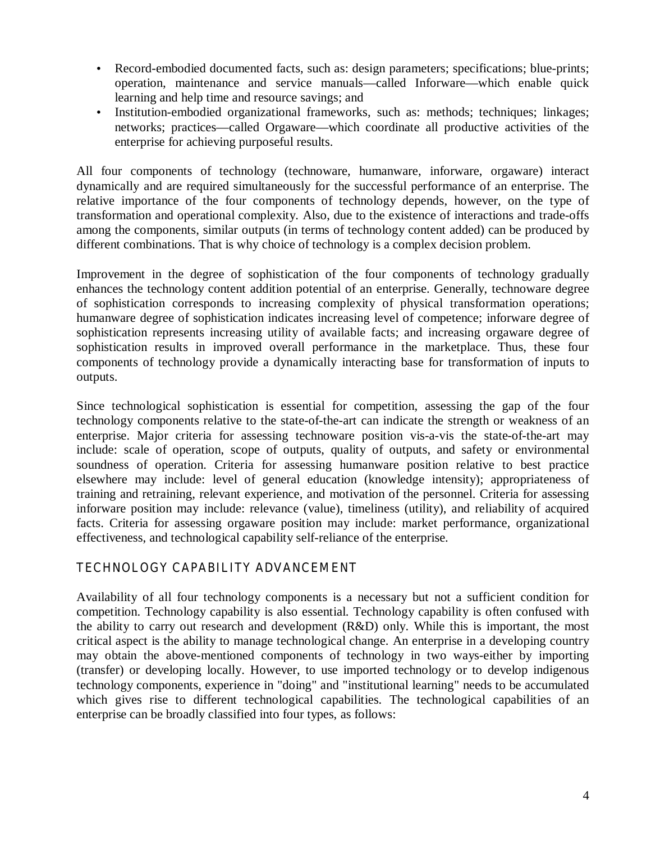- Record-embodied documented facts, such as: design parameters; specifications; blue-prints; operation, maintenance and service manuals—called Inforware—which enable quick learning and help time and resource savings; and
- Institution-embodied organizational frameworks, such as: methods; techniques; linkages; networks; practices—called Orgaware—which coordinate all productive activities of the enterprise for achieving purposeful results.

All four components of technology (technoware, humanware, inforware, orgaware) interact dynamically and are required simultaneously for the successful performance of an enterprise. The relative importance of the four components of technology depends, however, on the type of transformation and operational complexity. Also, due to the existence of interactions and trade-offs among the components, similar outputs (in terms of technology content added) can be produced by different combinations. That is why choice of technology is a complex decision problem.

Improvement in the degree of sophistication of the four components of technology gradually enhances the technology content addition potential of an enterprise. Generally, technoware degree of sophistication corresponds to increasing complexity of physical transformation operations; humanware degree of sophistication indicates increasing level of competence; inforware degree of sophistication represents increasing utility of available facts; and increasing orgaware degree of sophistication results in improved overall performance in the marketplace. Thus, these four components of technology provide a dynamically interacting base for transformation of inputs to outputs.

Since technological sophistication is essential for competition, assessing the gap of the four technology components relative to the state-of-the-art can indicate the strength or weakness of an enterprise. Major criteria for assessing technoware position vis-a-vis the state-of-the-art may include: scale of operation, scope of outputs, quality of outputs, and safety or environmental soundness of operation. Criteria for assessing humanware position relative to best practice elsewhere may include: level of general education (knowledge intensity); appropriateness of training and retraining, relevant experience, and motivation of the personnel. Criteria for assessing inforware position may include: relevance (value), timeliness (utility), and reliability of acquired facts. Criteria for assessing orgaware position may include: market performance, organizational effectiveness, and technological capability self-reliance of the enterprise.

# **TECHNOLOGY CAPABILITY ADVANCEMENT**

Availability of all four technology components is a necessary but not a sufficient condition for competition. Technology capability is also essential. Technology capability is often confused with the ability to carry out research and development (R&D) only. While this is important, the most critical aspect is the ability to manage technological change. An enterprise in a developing country may obtain the above-mentioned components of technology in two ways-either by importing (transfer) or developing locally. However, to use imported technology or to develop indigenous technology components, experience in "doing" and "institutional learning" needs to be accumulated which gives rise to different technological capabilities. The technological capabilities of an enterprise can be broadly classified into four types, as follows: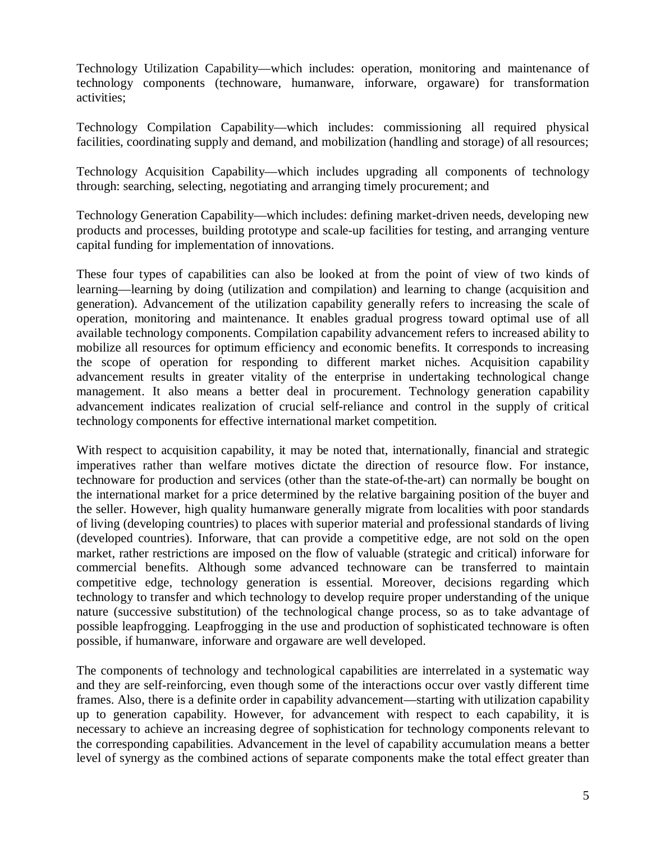Technology Utilization Capability—which includes: operation, monitoring and maintenance of technology components (technoware, humanware, inforware, orgaware) for transformation activities;

Technology Compilation Capability—which includes: commissioning all required physical facilities, coordinating supply and demand, and mobilization (handling and storage) of all resources;

Technology Acquisition Capability—which includes upgrading all components of technology through: searching, selecting, negotiating and arranging timely procurement; and

Technology Generation Capability—which includes: defining market-driven needs, developing new products and processes, building prototype and scale-up facilities for testing, and arranging venture capital funding for implementation of innovations.

These four types of capabilities can also be looked at from the point of view of two kinds of learning—learning by doing (utilization and compilation) and learning to change (acquisition and generation). Advancement of the utilization capability generally refers to increasing the scale of operation, monitoring and maintenance. It enables gradual progress toward optimal use of all available technology components. Compilation capability advancement refers to increased ability to mobilize all resources for optimum efficiency and economic benefits. It corresponds to increasing the scope of operation for responding to different market niches. Acquisition capability advancement results in greater vitality of the enterprise in undertaking technological change management. It also means a better deal in procurement. Technology generation capability advancement indicates realization of crucial self-reliance and control in the supply of critical technology components for effective international market competition.

With respect to acquisition capability, it may be noted that, internationally, financial and strategic imperatives rather than welfare motives dictate the direction of resource flow. For instance, technoware for production and services (other than the state-of-the-art) can normally be bought on the international market for a price determined by the relative bargaining position of the buyer and the seller. However, high quality humanware generally migrate from localities with poor standards of living (developing countries) to places with superior material and professional standards of living (developed countries). Inforware, that can provide a competitive edge, are not sold on the open market, rather restrictions are imposed on the flow of valuable (strategic and critical) inforware for commercial benefits. Although some advanced technoware can be transferred to maintain competitive edge, technology generation is essential. Moreover, decisions regarding which technology to transfer and which technology to develop require proper understanding of the unique nature (successive substitution) of the technological change process, so as to take advantage of possible leapfrogging. Leapfrogging in the use and production of sophisticated technoware is often possible, if humanware, inforware and orgaware are well developed.

The components of technology and technological capabilities are interrelated in a systematic way and they are self-reinforcing, even though some of the interactions occur over vastly different time frames. Also, there is a definite order in capability advancement—starting with utilization capability up to generation capability. However, for advancement with respect to each capability, it is necessary to achieve an increasing degree of sophistication for technology components relevant to the corresponding capabilities. Advancement in the level of capability accumulation means a better level of synergy as the combined actions of separate components make the total effect greater than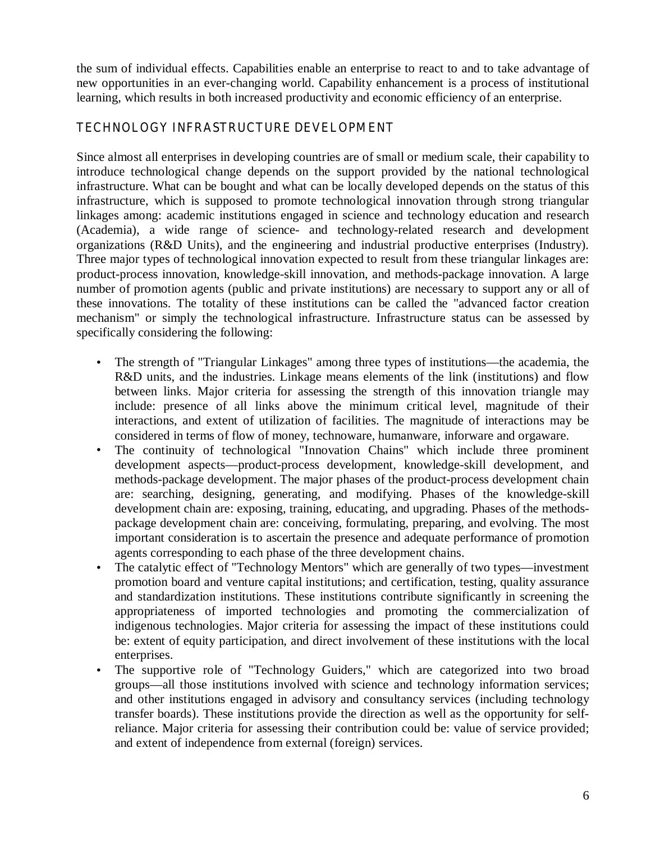the sum of individual effects. Capabilities enable an enterprise to react to and to take advantage of new opportunities in an ever-changing world. Capability enhancement is a process of institutional learning, which results in both increased productivity and economic efficiency of an enterprise.

# **TECHNOLOGY INFRASTRUCTURE DEVELOPMENT**

Since almost all enterprises in developing countries are of small or medium scale, their capability to introduce technological change depends on the support provided by the national technological infrastructure. What can be bought and what can be locally developed depends on the status of this infrastructure, which is supposed to promote technological innovation through strong triangular linkages among: academic institutions engaged in science and technology education and research (Academia), a wide range of science- and technology-related research and development organizations (R&D Units), and the engineering and industrial productive enterprises (Industry). Three major types of technological innovation expected to result from these triangular linkages are: product-process innovation, knowledge-skill innovation, and methods-package innovation. A large number of promotion agents (public and private institutions) are necessary to support any or all of these innovations. The totality of these institutions can be called the "advanced factor creation mechanism" or simply the technological infrastructure. Infrastructure status can be assessed by specifically considering the following:

- The strength of "Triangular Linkages" among three types of institutions—the academia, the R&D units, and the industries. Linkage means elements of the link (institutions) and flow between links. Major criteria for assessing the strength of this innovation triangle may include: presence of all links above the minimum critical level, magnitude of their interactions, and extent of utilization of facilities. The magnitude of interactions may be considered in terms of flow of money, technoware, humanware, inforware and orgaware.
- The continuity of technological "Innovation Chains" which include three prominent development aspects—product-process development, knowledge-skill development, and methods-package development. The major phases of the product-process development chain are: searching, designing, generating, and modifying. Phases of the knowledge-skill development chain are: exposing, training, educating, and upgrading. Phases of the methodspackage development chain are: conceiving, formulating, preparing, and evolving. The most important consideration is to ascertain the presence and adequate performance of promotion agents corresponding to each phase of the three development chains.
- The catalytic effect of "Technology Mentors" which are generally of two types—investment promotion board and venture capital institutions; and certification, testing, quality assurance and standardization institutions. These institutions contribute significantly in screening the appropriateness of imported technologies and promoting the commercialization of indigenous technologies. Major criteria for assessing the impact of these institutions could be: extent of equity participation, and direct involvement of these institutions with the local enterprises.
- The supportive role of "Technology Guiders," which are categorized into two broad groups—all those institutions involved with science and technology information services; and other institutions engaged in advisory and consultancy services (including technology transfer boards). These institutions provide the direction as well as the opportunity for selfreliance. Major criteria for assessing their contribution could be: value of service provided; and extent of independence from external (foreign) services.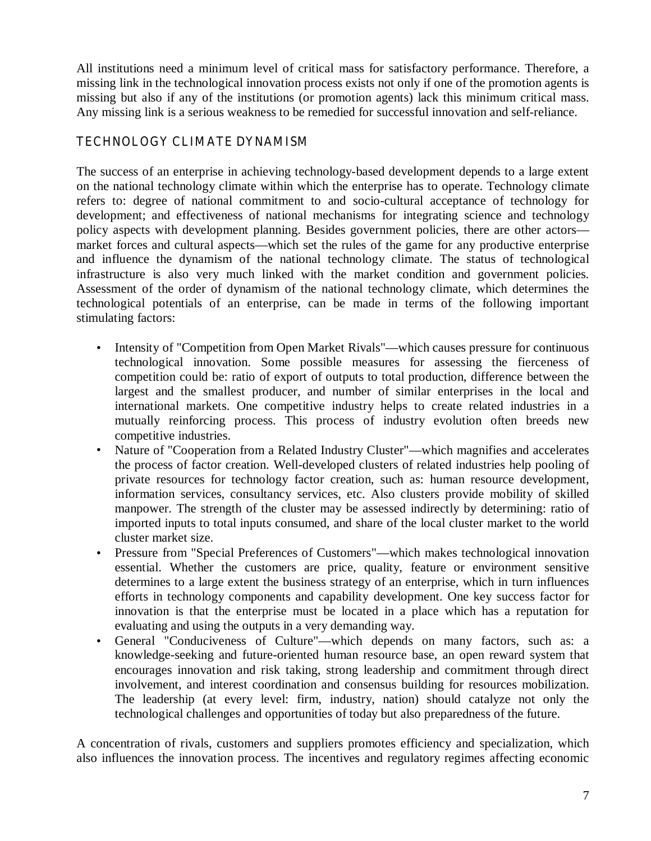All institutions need a minimum level of critical mass for satisfactory performance. Therefore, a missing link in the technological innovation process exists not only if one of the promotion agents is missing but also if any of the institutions (or promotion agents) lack this minimum critical mass. Any missing link is a serious weakness to be remedied for successful innovation and self-reliance.

# **TECHNOLOGY CLIMATE DYNAMISM**

The success of an enterprise in achieving technology-based development depends to a large extent on the national technology climate within which the enterprise has to operate. Technology climate refers to: degree of national commitment to and socio-cultural acceptance of technology for development; and effectiveness of national mechanisms for integrating science and technology policy aspects with development planning. Besides government policies, there are other actors market forces and cultural aspects—which set the rules of the game for any productive enterprise and influence the dynamism of the national technology climate. The status of technological infrastructure is also very much linked with the market condition and government policies. Assessment of the order of dynamism of the national technology climate, which determines the technological potentials of an enterprise, can be made in terms of the following important stimulating factors:

- Intensity of "Competition from Open Market Rivals"—which causes pressure for continuous technological innovation. Some possible measures for assessing the fierceness of competition could be: ratio of export of outputs to total production, difference between the largest and the smallest producer, and number of similar enterprises in the local and international markets. One competitive industry helps to create related industries in a mutually reinforcing process. This process of industry evolution often breeds new competitive industries.
- Nature of "Cooperation from a Related Industry Cluster"—which magnifies and accelerates the process of factor creation. Well-developed clusters of related industries help pooling of private resources for technology factor creation, such as: human resource development, information services, consultancy services, etc. Also clusters provide mobility of skilled manpower. The strength of the cluster may be assessed indirectly by determining: ratio of imported inputs to total inputs consumed, and share of the local cluster market to the world cluster market size.
- Pressure from "Special Preferences of Customers"—which makes technological innovation essential. Whether the customers are price, quality, feature or environment sensitive determines to a large extent the business strategy of an enterprise, which in turn influences efforts in technology components and capability development. One key success factor for innovation is that the enterprise must be located in a place which has a reputation for evaluating and using the outputs in a very demanding way.
- General "Conduciveness of Culture"—which depends on many factors, such as: a knowledge-seeking and future-oriented human resource base, an open reward system that encourages innovation and risk taking, strong leadership and commitment through direct involvement, and interest coordination and consensus building for resources mobilization. The leadership (at every level: firm, industry, nation) should catalyze not only the technological challenges and opportunities of today but also preparedness of the future.

A concentration of rivals, customers and suppliers promotes efficiency and specialization, which also influences the innovation process. The incentives and regulatory regimes affecting economic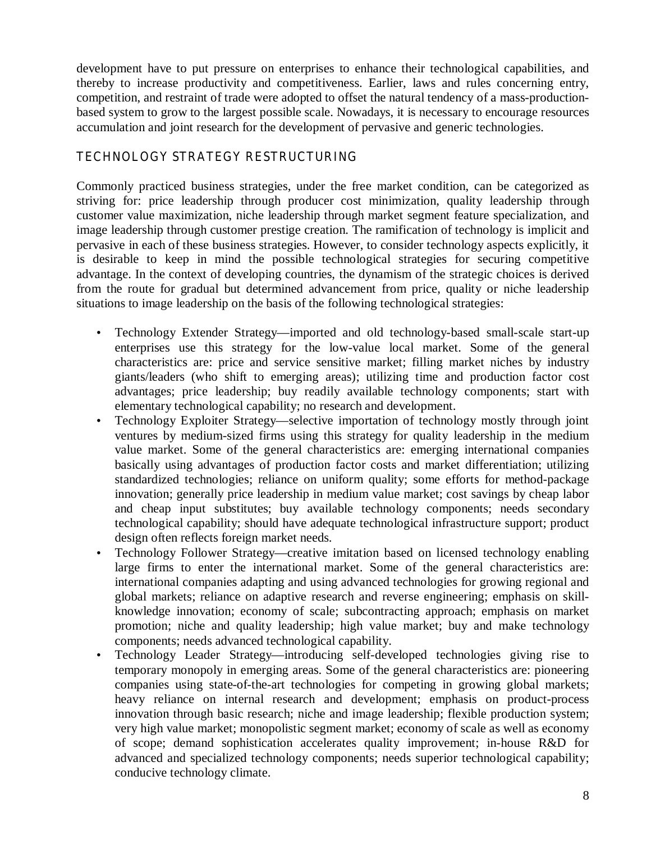development have to put pressure on enterprises to enhance their technological capabilities, and thereby to increase productivity and competitiveness. Earlier, laws and rules concerning entry, competition, and restraint of trade were adopted to offset the natural tendency of a mass-productionbased system to grow to the largest possible scale. Nowadays, it is necessary to encourage resources accumulation and joint research for the development of pervasive and generic technologies.

## **TECHNOLOGY STRATEGY RESTRUCTURING**

Commonly practiced business strategies, under the free market condition, can be categorized as striving for: price leadership through producer cost minimization, quality leadership through customer value maximization, niche leadership through market segment feature specialization, and image leadership through customer prestige creation. The ramification of technology is implicit and pervasive in each of these business strategies. However, to consider technology aspects explicitly, it is desirable to keep in mind the possible technological strategies for securing competitive advantage. In the context of developing countries, the dynamism of the strategic choices is derived from the route for gradual but determined advancement from price, quality or niche leadership situations to image leadership on the basis of the following technological strategies:

- Technology Extender Strategy—imported and old technology-based small-scale start-up enterprises use this strategy for the low-value local market. Some of the general characteristics are: price and service sensitive market; filling market niches by industry giants/leaders (who shift to emerging areas); utilizing time and production factor cost advantages; price leadership; buy readily available technology components; start with elementary technological capability; no research and development.
- Technology Exploiter Strategy—selective importation of technology mostly through joint ventures by medium-sized firms using this strategy for quality leadership in the medium value market. Some of the general characteristics are: emerging international companies basically using advantages of production factor costs and market differentiation; utilizing standardized technologies; reliance on uniform quality; some efforts for method-package innovation; generally price leadership in medium value market; cost savings by cheap labor and cheap input substitutes; buy available technology components; needs secondary technological capability; should have adequate technological infrastructure support; product design often reflects foreign market needs.
- Technology Follower Strategy—creative imitation based on licensed technology enabling large firms to enter the international market. Some of the general characteristics are: international companies adapting and using advanced technologies for growing regional and global markets; reliance on adaptive research and reverse engineering; emphasis on skillknowledge innovation; economy of scale; subcontracting approach; emphasis on market promotion; niche and quality leadership; high value market; buy and make technology components; needs advanced technological capability.
- Technology Leader Strategy—introducing self-developed technologies giving rise to temporary monopoly in emerging areas. Some of the general characteristics are: pioneering companies using state-of-the-art technologies for competing in growing global markets; heavy reliance on internal research and development; emphasis on product-process innovation through basic research; niche and image leadership; flexible production system; very high value market; monopolistic segment market; economy of scale as well as economy of scope; demand sophistication accelerates quality improvement; in-house R&D for advanced and specialized technology components; needs superior technological capability; conducive technology climate.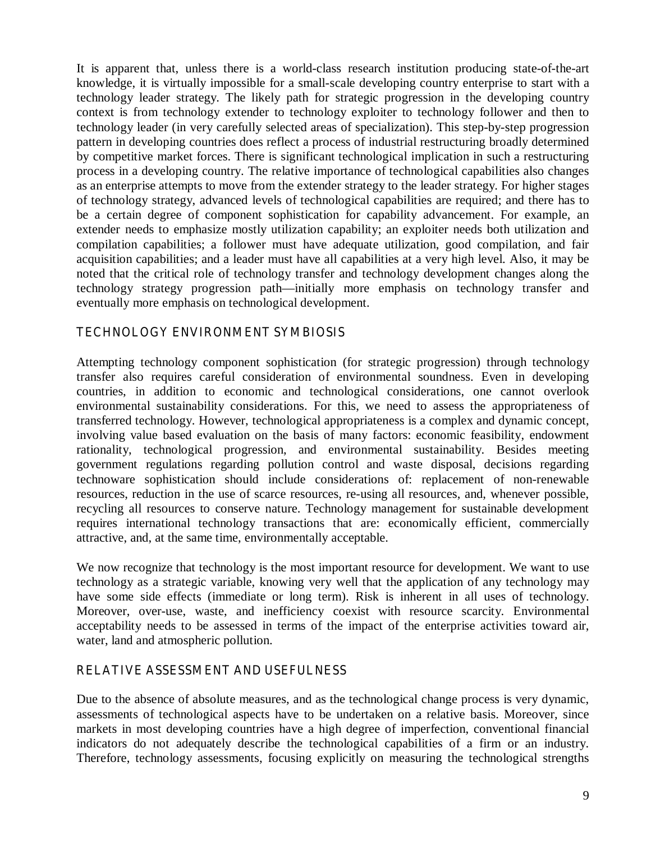It is apparent that, unless there is a world-class research institution producing state-of-the-art knowledge, it is virtually impossible for a small-scale developing country enterprise to start with a technology leader strategy. The likely path for strategic progression in the developing country context is from technology extender to technology exploiter to technology follower and then to technology leader (in very carefully selected areas of specialization). This step-by-step progression pattern in developing countries does reflect a process of industrial restructuring broadly determined by competitive market forces. There is significant technological implication in such a restructuring process in a developing country. The relative importance of technological capabilities also changes as an enterprise attempts to move from the extender strategy to the leader strategy. For higher stages of technology strategy, advanced levels of technological capabilities are required; and there has to be a certain degree of component sophistication for capability advancement. For example, an extender needs to emphasize mostly utilization capability; an exploiter needs both utilization and compilation capabilities; a follower must have adequate utilization, good compilation, and fair acquisition capabilities; and a leader must have all capabilities at a very high level. Also, it may be noted that the critical role of technology transfer and technology development changes along the technology strategy progression path—initially more emphasis on technology transfer and eventually more emphasis on technological development.

# **TECHNOLOGY ENVIRONMENT SYMBIOSIS**

Attempting technology component sophistication (for strategic progression) through technology transfer also requires careful consideration of environmental soundness. Even in developing countries, in addition to economic and technological considerations, one cannot overlook environmental sustainability considerations. For this, we need to assess the appropriateness of transferred technology. However, technological appropriateness is a complex and dynamic concept, involving value based evaluation on the basis of many factors: economic feasibility, endowment rationality, technological progression, and environmental sustainability. Besides meeting government regulations regarding pollution control and waste disposal, decisions regarding technoware sophistication should include considerations of: replacement of non-renewable resources, reduction in the use of scarce resources, re-using all resources, and, whenever possible, recycling all resources to conserve nature. Technology management for sustainable development requires international technology transactions that are: economically efficient, commercially attractive, and, at the same time, environmentally acceptable.

We now recognize that technology is the most important resource for development. We want to use technology as a strategic variable, knowing very well that the application of any technology may have some side effects (immediate or long term). Risk is inherent in all uses of technology. Moreover, over-use, waste, and inefficiency coexist with resource scarcity. Environmental acceptability needs to be assessed in terms of the impact of the enterprise activities toward air, water, land and atmospheric pollution.

#### **RELATIVE ASSESSMENT AND USEFULNESS**

Due to the absence of absolute measures, and as the technological change process is very dynamic, assessments of technological aspects have to be undertaken on a relative basis. Moreover, since markets in most developing countries have a high degree of imperfection, conventional financial indicators do not adequately describe the technological capabilities of a firm or an industry. Therefore, technology assessments, focusing explicitly on measuring the technological strengths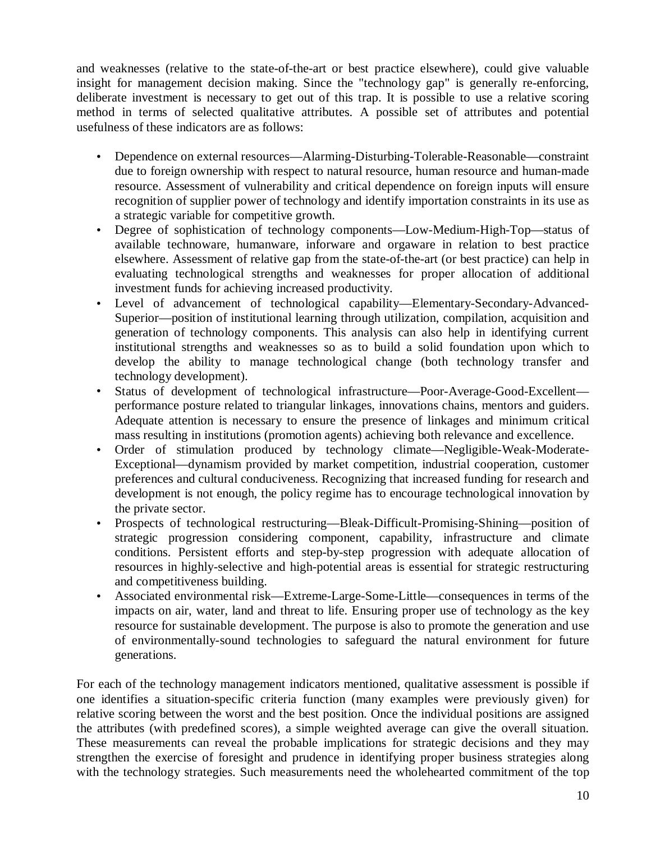and weaknesses (relative to the state-of-the-art or best practice elsewhere), could give valuable insight for management decision making. Since the "technology gap" is generally re-enforcing, deliberate investment is necessary to get out of this trap. It is possible to use a relative scoring method in terms of selected qualitative attributes. A possible set of attributes and potential usefulness of these indicators are as follows:

- Dependence on external resources—Alarming-Disturbing-Tolerable-Reasonable—constraint due to foreign ownership with respect to natural resource, human resource and human-made resource. Assessment of vulnerability and critical dependence on foreign inputs will ensure recognition of supplier power of technology and identify importation constraints in its use as a strategic variable for competitive growth.
- Degree of sophistication of technology components—Low-Medium-High-Top—status of available technoware, humanware, inforware and orgaware in relation to best practice elsewhere. Assessment of relative gap from the state-of-the-art (or best practice) can help in evaluating technological strengths and weaknesses for proper allocation of additional investment funds for achieving increased productivity.
- Level of advancement of technological capability—Elementary-Secondary-Advanced-Superior—position of institutional learning through utilization, compilation, acquisition and generation of technology components. This analysis can also help in identifying current institutional strengths and weaknesses so as to build a solid foundation upon which to develop the ability to manage technological change (both technology transfer and technology development).
- Status of development of technological infrastructure—Poor-Average-Good-Excellent performance posture related to triangular linkages, innovations chains, mentors and guiders. Adequate attention is necessary to ensure the presence of linkages and minimum critical mass resulting in institutions (promotion agents) achieving both relevance and excellence.
- Order of stimulation produced by technology climate—Negligible-Weak-Moderate-Exceptional—dynamism provided by market competition, industrial cooperation, customer preferences and cultural conduciveness. Recognizing that increased funding for research and development is not enough, the policy regime has to encourage technological innovation by the private sector.
- Prospects of technological restructuring—Bleak-Difficult-Promising-Shining—position of strategic progression considering component, capability, infrastructure and climate conditions. Persistent efforts and step-by-step progression with adequate allocation of resources in highly-selective and high-potential areas is essential for strategic restructuring and competitiveness building.
- Associated environmental risk—Extreme-Large-Some-Little—consequences in terms of the impacts on air, water, land and threat to life. Ensuring proper use of technology as the key resource for sustainable development. The purpose is also to promote the generation and use of environmentally-sound technologies to safeguard the natural environment for future generations.

For each of the technology management indicators mentioned, qualitative assessment is possible if one identifies a situation-specific criteria function (many examples were previously given) for relative scoring between the worst and the best position. Once the individual positions are assigned the attributes (with predefined scores), a simple weighted average can give the overall situation. These measurements can reveal the probable implications for strategic decisions and they may strengthen the exercise of foresight and prudence in identifying proper business strategies along with the technology strategies. Such measurements need the wholehearted commitment of the top